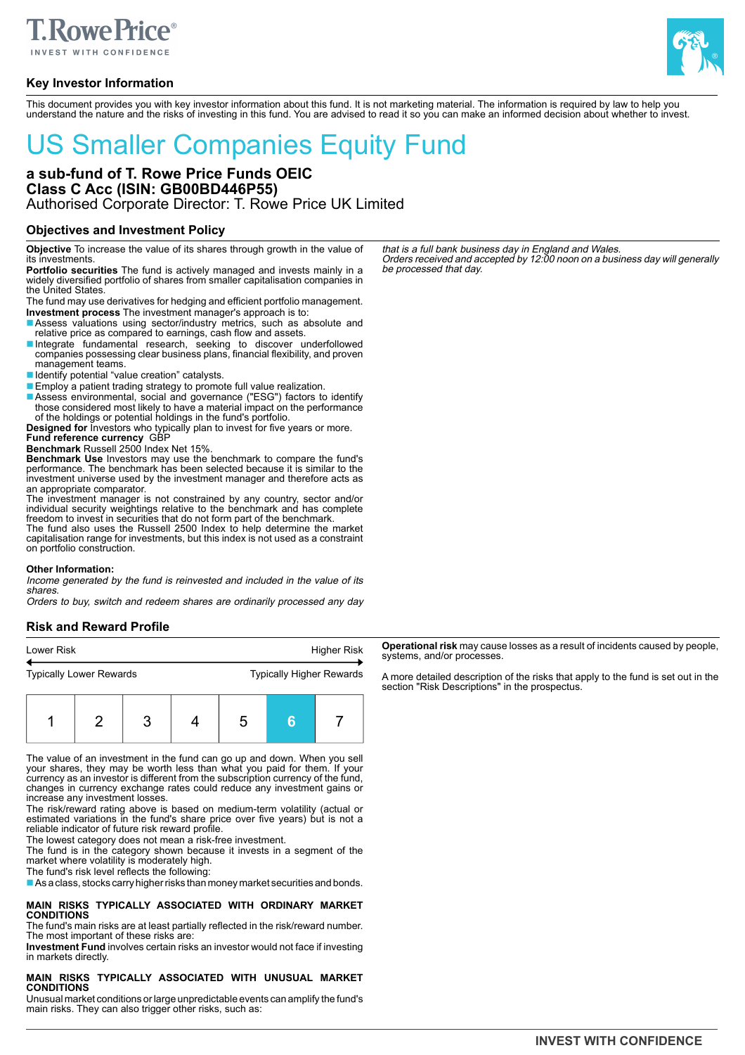

# **Key Investor Information**



This document provides you with key investor information about this fund. It is not marketing material. The information is required by law to help you understand the nature and the risks of investing in this fund. You are advised to read it so you can make an informed decision about whether to invest.

# US Smaller Companies Equity Fund

# **a sub-fund of T. Rowe Price Funds OEIC Class C Acc (ISIN: GB00BD446P55)** Authorised Corporate Director: T. Rowe Price UK Limited

## **Objectives and Investment Policy**

**Objective** To increase the value of its shares through growth in the value of its investments.

**Portfolio securities** The fund is actively managed and invests mainly in a widely diversified portfolio of shares from smaller capitalisation companies in the United States.

The fund may use derivatives for hedging and efficient portfolio management. **Investment process** The investment manager's approach is to:

- ■Assess valuations using sector/industry metrics, such as absolute and relative price as compared to earnings, cash flow and assets.
- ■Integrate fundamental research, seeking to discover underfollowed companies possessing clear business plans, financial flexibility, and proven management teams.
- Identify potential "value creation" catalysts.
- Employ a patient trading strategy to promote full value realization.
- ■Assess environmental, social and governance ("ESG") factors to identify those considered most likely to have a material impact on the performance of the holdings or potential holdings in the fund's portfolio.
- **Designed for** Investors who typically plan to invest for five years or more. **Fund reference currency** GBP
- **Benchmark** Russell 2500 Index Net 15%.

**Benchmark Use** Investors may use the benchmark to compare the fund's performance. The benchmark has been selected because it is similar to the investment universe used by the investment manager and therefore acts as an appropriate comparator.

The investment manager is not constrained by any country, sector and/or individual security weightings relative to the benchmark and has complete

freedom to invest in securities that do not form part of the benchmark. The fund also uses the Russell 2500 Index to help determine the market capitalisation range for investments, but this index is not used as a constraint on portfolio construction.

#### **Other Information:**

Income generated by the fund is reinvested and included in the value of its shares.

Orders to buy, switch and redeem shares are ordinarily processed any day

# **Risk and Reward Profile**

| Lower Risk |                                |  | Higher Risk |                                 |   |  |  |
|------------|--------------------------------|--|-------------|---------------------------------|---|--|--|
|            | <b>Typically Lower Rewards</b> |  |             | <b>Typically Higher Rewards</b> |   |  |  |
|            |                                |  |             | h                               | 6 |  |  |

The value of an investment in the fund can go up and down. When you sell your shares, they may be worth less than what you paid for them. If your currency as an investor is different from the subscription currency of the fund, changes in currency exchange rates could reduce any investment gains or increase any investment losses.

The risk/reward rating above is based on medium-term volatility (actual or estimated variations in the fund's share price over five years) but is not a reliable indicator of future risk reward profile.

The lowest category does not mean a risk-free investment.

The fund is in the category shown because it invests in a segment of the market where volatility is moderately high.

The fund's risk level reflects the following:

■ As a class, stocks carry higher risks than money market securities and bonds.

**MAIN RISKS TYPICALLY ASSOCIATED WITH ORDINARY MARKET CONDITIONS**

The fund's main risks are at least partially reflected in the risk/reward number. The most important of these risks are:

**Investment Fund** involves certain risks an investor would not face if investing in markets directly.

# **MAIN RISKS TYPICALLY ASSOCIATED WITH UNUSUAL MARKET CONDITIONS**

Unusual market conditions or large unpredictable events can amplify the fund's main risks. They can also trigger other risks, such as:

that is a full bank business day in England and Wales. Orders received and accepted by 12:00 noon on a business day will generally be processed that day.

**Operational risk** may cause losses as a result of incidents caused by people, systems, and/or processes.

A more detailed description of the risks that apply to the fund is set out in the section "Risk Descriptions" in the prospectus.